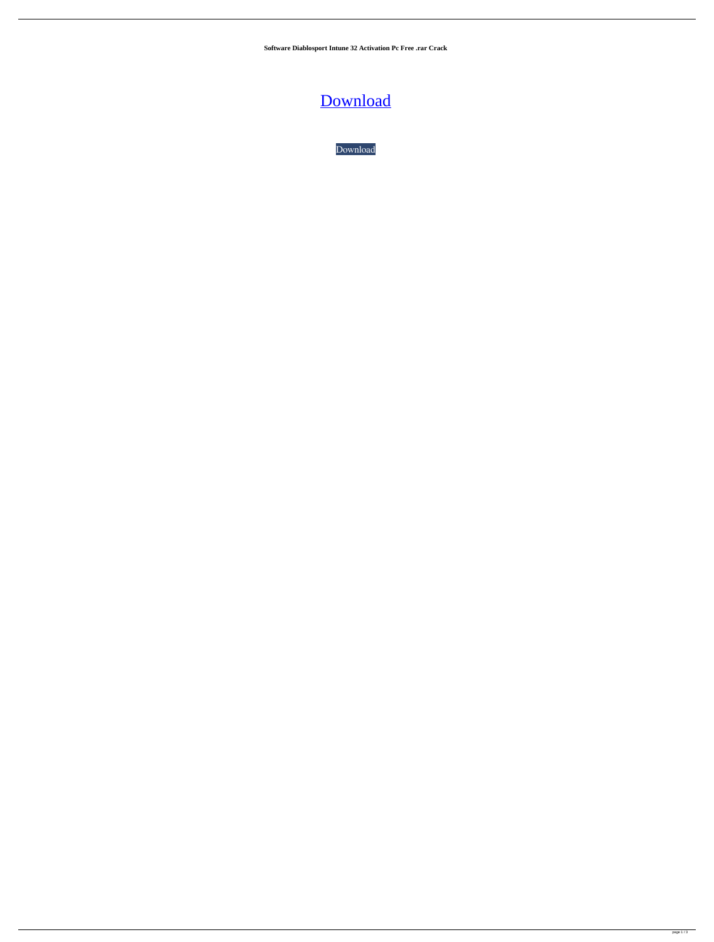**Software Diablosport Intune 32 Activation Pc Free .rar Crack**

[Download](http://evacdir.com/charcocaps/ZGlhYmxvc3BvcnQgaW50dW5lIHNlcmlhbCBudW1iZXIgbG9jYXRpb24ZGl/ZG93bmxvYWR8cmg4TW5odGMzeDhNVFkxTWpjME1EZzJObng4TWpVM05IeDhLRTBwSUhKbFlXUXRZbXh2WnlCYlJtRnpkQ0JIUlU1ZA.acquire=digitalized.forsyte.dioxane)

[Download](http://evacdir.com/charcocaps/ZGlhYmxvc3BvcnQgaW50dW5lIHNlcmlhbCBudW1iZXIgbG9jYXRpb24ZGl/ZG93bmxvYWR8cmg4TW5odGMzeDhNVFkxTWpjME1EZzJObng4TWpVM05IeDhLRTBwSUhKbFlXUXRZbXh2WnlCYlJtRnpkQ0JIUlU1ZA.acquire=digitalized.forsyte.dioxane)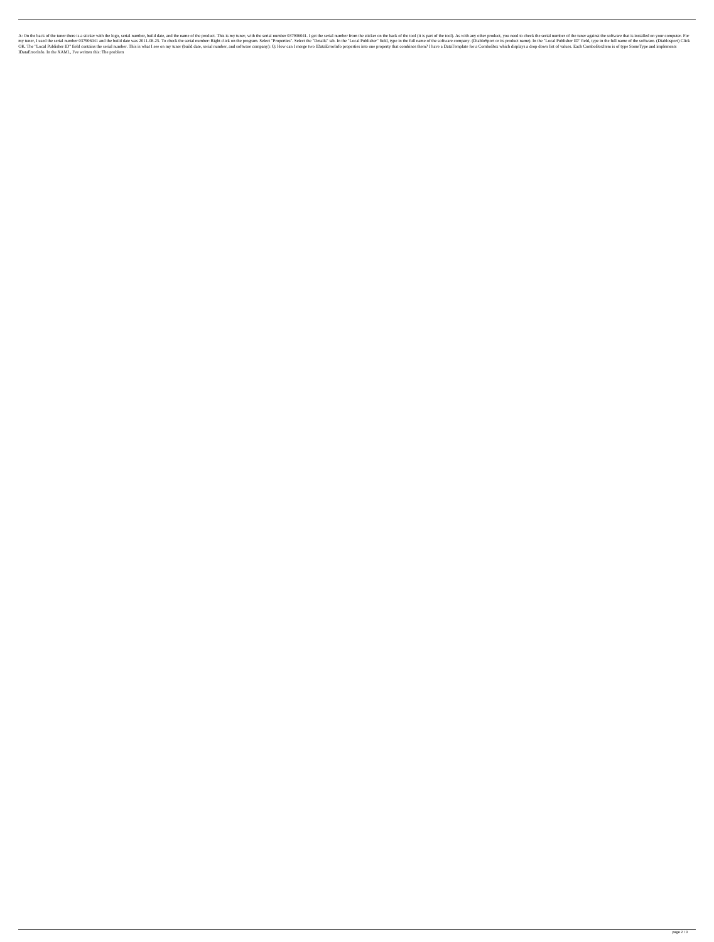A: On the back of the tuner there is a sticker with the logo, serial number, build date, and the name of the product. This is my tuner, with the serial number 037906041. I get the serial number from the sticker on the back Expectional Dannel of The Serial number 037906041 and the build date was 2011-08-25. To check the serial number: Right click on the program. Select "Properties". Select the "Details" tab. In the full name of the software c The "Local Publisher ID" field contains the serial number. This is what I see on my tuner (build date, serial number, and software company): Q: How can I merge two IDataErrorInfo properties into one property that combines IDataErrorInfo. In the XAML, I've written this: The problem